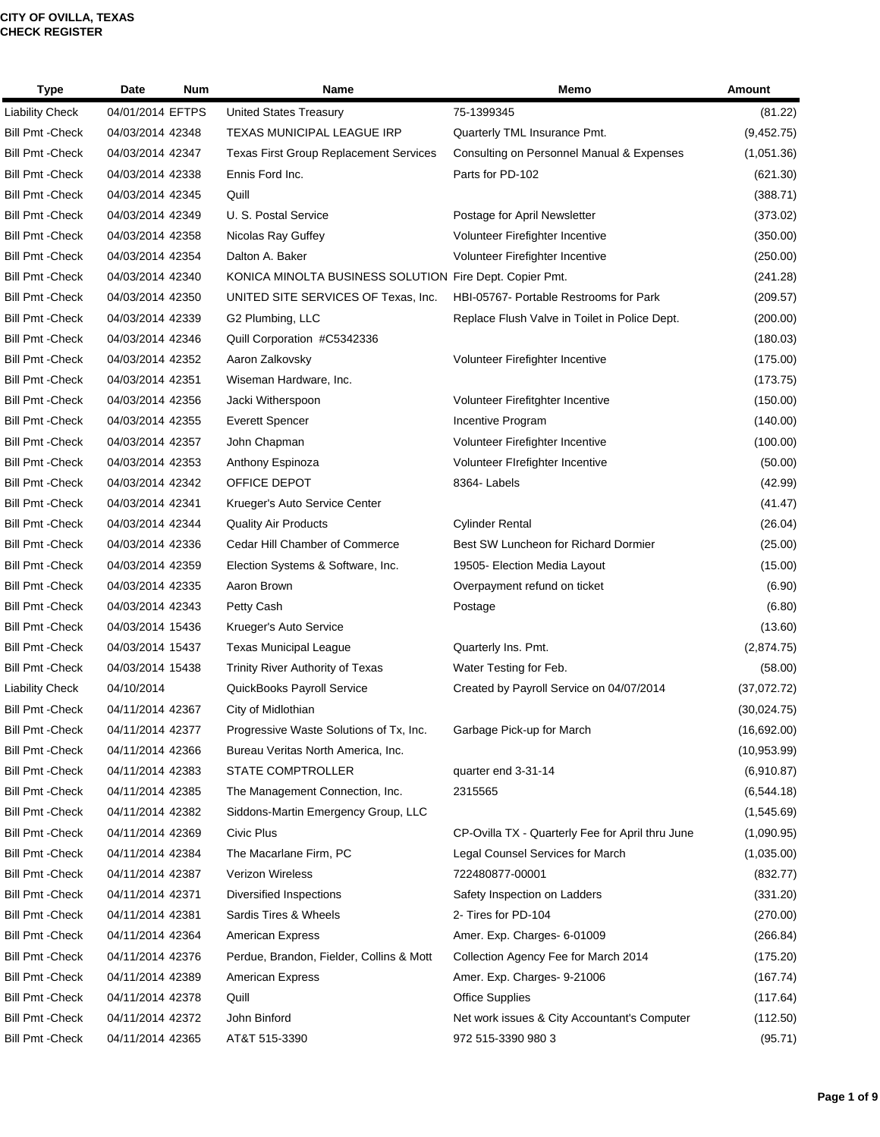| Type                    | Date             | <b>Num</b> | Name                                                    | Memo                                             | Amount       |
|-------------------------|------------------|------------|---------------------------------------------------------|--------------------------------------------------|--------------|
| <b>Liability Check</b>  | 04/01/2014 EFTPS |            | United States Treasury                                  | 75-1399345                                       | (81.22)      |
| <b>Bill Pmt - Check</b> | 04/03/2014 42348 |            | TEXAS MUNICIPAL LEAGUE IRP                              | Quarterly TML Insurance Pmt.                     | (9,452.75)   |
| <b>Bill Pmt - Check</b> | 04/03/2014 42347 |            | <b>Texas First Group Replacement Services</b>           | Consulting on Personnel Manual & Expenses        | (1,051.36)   |
| <b>Bill Pmt - Check</b> | 04/03/2014 42338 |            | Ennis Ford Inc.                                         | Parts for PD-102                                 | (621.30)     |
| <b>Bill Pmt - Check</b> | 04/03/2014 42345 |            | Quill                                                   |                                                  | (388.71)     |
| <b>Bill Pmt - Check</b> | 04/03/2014 42349 |            | U. S. Postal Service                                    | Postage for April Newsletter                     | (373.02)     |
| <b>Bill Pmt - Check</b> | 04/03/2014 42358 |            | Nicolas Ray Guffey                                      | Volunteer Firefighter Incentive                  | (350.00)     |
| <b>Bill Pmt - Check</b> | 04/03/2014 42354 |            | Dalton A. Baker                                         | Volunteer Firefighter Incentive                  | (250.00)     |
| <b>Bill Pmt - Check</b> | 04/03/2014 42340 |            | KONICA MINOLTA BUSINESS SOLUTION Fire Dept. Copier Pmt. |                                                  | (241.28)     |
| <b>Bill Pmt - Check</b> | 04/03/2014 42350 |            | UNITED SITE SERVICES OF Texas, Inc.                     | HBI-05767- Portable Restrooms for Park           | (209.57)     |
| <b>Bill Pmt - Check</b> | 04/03/2014 42339 |            | G2 Plumbing, LLC                                        | Replace Flush Valve in Toilet in Police Dept.    | (200.00)     |
| <b>Bill Pmt - Check</b> | 04/03/2014 42346 |            | Quill Corporation #C5342336                             |                                                  | (180.03)     |
| <b>Bill Pmt - Check</b> | 04/03/2014 42352 |            | Aaron Zalkovsky                                         | Volunteer Firefighter Incentive                  | (175.00)     |
| <b>Bill Pmt - Check</b> | 04/03/2014 42351 |            | Wiseman Hardware, Inc.                                  |                                                  | (173.75)     |
| <b>Bill Pmt - Check</b> | 04/03/2014 42356 |            | Jacki Witherspoon                                       | Volunteer Firefitghter Incentive                 | (150.00)     |
| <b>Bill Pmt - Check</b> | 04/03/2014 42355 |            | <b>Everett Spencer</b>                                  | Incentive Program                                | (140.00)     |
| <b>Bill Pmt - Check</b> | 04/03/2014 42357 |            | John Chapman                                            | Volunteer Firefighter Incentive                  | (100.00)     |
| <b>Bill Pmt - Check</b> | 04/03/2014 42353 |            | Anthony Espinoza                                        | Volunteer Firefighter Incentive                  | (50.00)      |
| <b>Bill Pmt - Check</b> | 04/03/2014 42342 |            | OFFICE DEPOT                                            | 8364-Labels                                      | (42.99)      |
| <b>Bill Pmt - Check</b> | 04/03/2014 42341 |            | Krueger's Auto Service Center                           |                                                  | (41.47)      |
| <b>Bill Pmt - Check</b> | 04/03/2014 42344 |            | <b>Quality Air Products</b>                             | <b>Cylinder Rental</b>                           | (26.04)      |
| <b>Bill Pmt - Check</b> | 04/03/2014 42336 |            | Cedar Hill Chamber of Commerce                          | Best SW Luncheon for Richard Dormier             | (25.00)      |
| <b>Bill Pmt - Check</b> | 04/03/2014 42359 |            | Election Systems & Software, Inc.                       | 19505- Election Media Layout                     | (15.00)      |
| <b>Bill Pmt - Check</b> | 04/03/2014 42335 |            | Aaron Brown                                             | Overpayment refund on ticket                     | (6.90)       |
| <b>Bill Pmt - Check</b> | 04/03/2014 42343 |            | Petty Cash                                              | Postage                                          | (6.80)       |
| <b>Bill Pmt - Check</b> | 04/03/2014 15436 |            | Krueger's Auto Service                                  |                                                  | (13.60)      |
| <b>Bill Pmt - Check</b> | 04/03/2014 15437 |            | <b>Texas Municipal League</b>                           | Quarterly Ins. Pmt.                              | (2,874.75)   |
| <b>Bill Pmt - Check</b> | 04/03/2014 15438 |            | Trinity River Authority of Texas                        | Water Testing for Feb.                           | (58.00)      |
| <b>Liability Check</b>  | 04/10/2014       |            | <b>QuickBooks Payroll Service</b>                       | Created by Payroll Service on 04/07/2014         | (37,072.72)  |
| <b>Bill Pmt - Check</b> | 04/11/2014 42367 |            | City of Midlothian                                      |                                                  | (30,024.75)  |
| <b>Bill Pmt - Check</b> | 04/11/2014 42377 |            | Progressive Waste Solutions of Tx, Inc.                 | Garbage Pick-up for March                        | (16,692.00)  |
| <b>Bill Pmt - Check</b> | 04/11/2014 42366 |            | Bureau Veritas North America, Inc.                      |                                                  | (10, 953.99) |
| <b>Bill Pmt - Check</b> | 04/11/2014 42383 |            | <b>STATE COMPTROLLER</b>                                | quarter end 3-31-14                              | (6,910.87)   |
| <b>Bill Pmt - Check</b> | 04/11/2014 42385 |            | The Management Connection, Inc.                         | 2315565                                          | (6, 544.18)  |
| <b>Bill Pmt - Check</b> | 04/11/2014 42382 |            | Siddons-Martin Emergency Group, LLC                     |                                                  | (1,545.69)   |
| <b>Bill Pmt - Check</b> | 04/11/2014 42369 |            | Civic Plus                                              | CP-Ovilla TX - Quarterly Fee for April thru June | (1,090.95)   |
| <b>Bill Pmt - Check</b> | 04/11/2014 42384 |            | The Macarlane Firm, PC                                  | Legal Counsel Services for March                 | (1,035.00)   |
| <b>Bill Pmt - Check</b> | 04/11/2014 42387 |            | Verizon Wireless                                        | 722480877-00001                                  | (832.77)     |
| <b>Bill Pmt -Check</b>  | 04/11/2014 42371 |            | Diversified Inspections                                 | Safety Inspection on Ladders                     | (331.20)     |
| <b>Bill Pmt - Check</b> | 04/11/2014 42381 |            | Sardis Tires & Wheels                                   | 2- Tires for PD-104                              | (270.00)     |
| <b>Bill Pmt - Check</b> | 04/11/2014 42364 |            | <b>American Express</b>                                 | Amer. Exp. Charges- 6-01009                      | (266.84)     |
| <b>Bill Pmt - Check</b> | 04/11/2014 42376 |            | Perdue, Brandon, Fielder, Collins & Mott                | Collection Agency Fee for March 2014             | (175.20)     |
| <b>Bill Pmt - Check</b> | 04/11/2014 42389 |            | <b>American Express</b>                                 | Amer. Exp. Charges- 9-21006                      | (167.74)     |
| <b>Bill Pmt - Check</b> | 04/11/2014 42378 |            | Quill                                                   | <b>Office Supplies</b>                           | (117.64)     |
| <b>Bill Pmt - Check</b> | 04/11/2014 42372 |            | John Binford                                            | Net work issues & City Accountant's Computer     | (112.50)     |
| <b>Bill Pmt - Check</b> | 04/11/2014 42365 |            | AT&T 515-3390                                           | 972 515-3390 980 3                               | (95.71)      |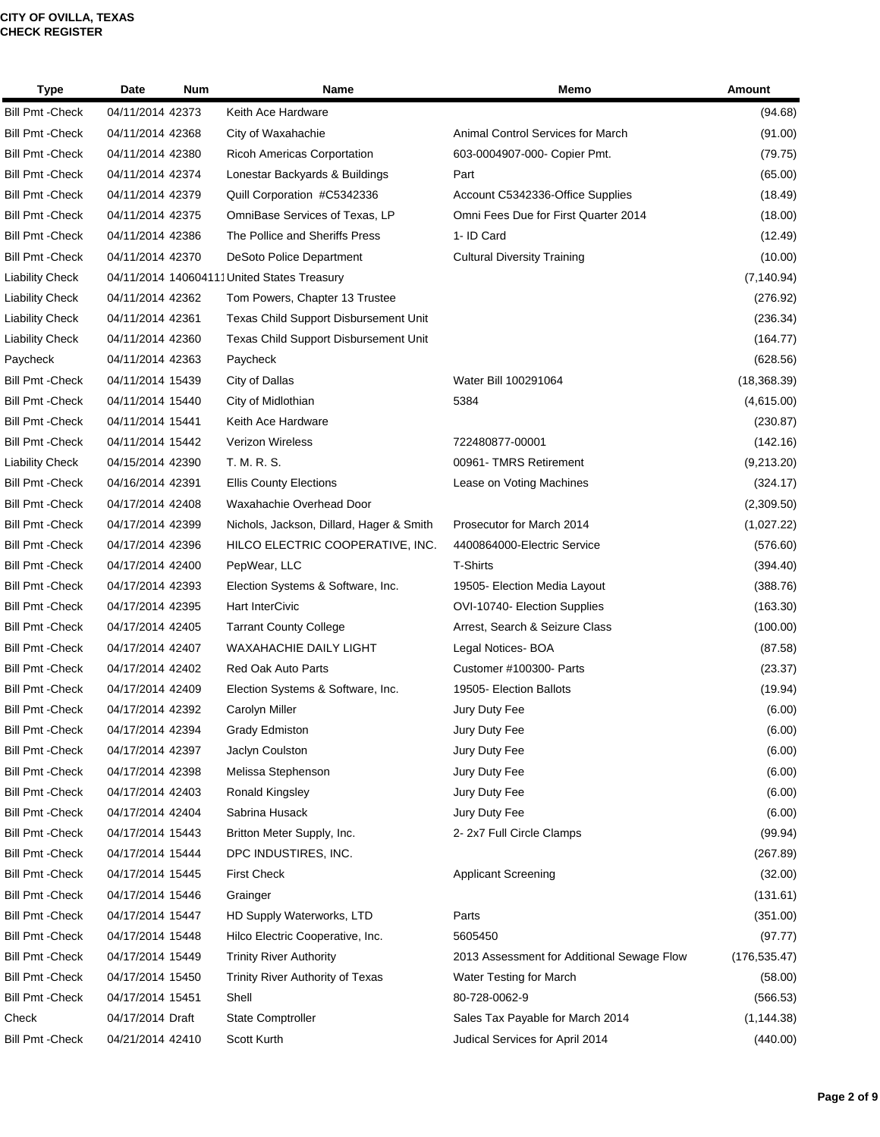| <b>Type</b>             | Date             | <b>Num</b> | Name                                       | Memo                                       | Amount        |
|-------------------------|------------------|------------|--------------------------------------------|--------------------------------------------|---------------|
| <b>Bill Pmt - Check</b> | 04/11/2014 42373 |            | Keith Ace Hardware                         |                                            | (94.68)       |
| <b>Bill Pmt - Check</b> | 04/11/2014 42368 |            | City of Waxahachie                         | Animal Control Services for March          | (91.00)       |
| <b>Bill Pmt - Check</b> | 04/11/2014 42380 |            | Ricoh Americas Corportation                | 603-0004907-000- Copier Pmt.               | (79.75)       |
| <b>Bill Pmt - Check</b> | 04/11/2014 42374 |            | Lonestar Backyards & Buildings             | Part                                       | (65.00)       |
| <b>Bill Pmt - Check</b> | 04/11/2014 42379 |            | Quill Corporation #C5342336                | Account C5342336-Office Supplies           | (18.49)       |
| <b>Bill Pmt - Check</b> | 04/11/2014 42375 |            | OmniBase Services of Texas, LP             | Omni Fees Due for First Quarter 2014       | (18.00)       |
| <b>Bill Pmt - Check</b> | 04/11/2014 42386 |            | The Pollice and Sheriffs Press             | 1- ID Card                                 | (12.49)       |
| <b>Bill Pmt - Check</b> | 04/11/2014 42370 |            | DeSoto Police Department                   | <b>Cultural Diversity Training</b>         | (10.00)       |
| <b>Liability Check</b>  |                  |            | 04/11/2014 140604111United States Treasury |                                            | (7, 140.94)   |
| <b>Liability Check</b>  | 04/11/2014 42362 |            | Tom Powers, Chapter 13 Trustee             |                                            | (276.92)      |
| <b>Liability Check</b>  | 04/11/2014 42361 |            | Texas Child Support Disbursement Unit      |                                            | (236.34)      |
| <b>Liability Check</b>  | 04/11/2014 42360 |            | Texas Child Support Disbursement Unit      |                                            | (164.77)      |
| Paycheck                | 04/11/2014 42363 |            | Paycheck                                   |                                            | (628.56)      |
| <b>Bill Pmt - Check</b> | 04/11/2014 15439 |            | City of Dallas                             | Water Bill 100291064                       | (18, 368.39)  |
| <b>Bill Pmt - Check</b> | 04/11/2014 15440 |            | City of Midlothian                         | 5384                                       | (4,615.00)    |
| <b>Bill Pmt - Check</b> | 04/11/2014 15441 |            | Keith Ace Hardware                         |                                            | (230.87)      |
| <b>Bill Pmt - Check</b> | 04/11/2014 15442 |            | <b>Verizon Wireless</b>                    | 722480877-00001                            | (142.16)      |
| <b>Liability Check</b>  | 04/15/2014 42390 |            | T. M. R. S.                                | 00961- TMRS Retirement                     | (9,213.20)    |
| <b>Bill Pmt - Check</b> | 04/16/2014 42391 |            | <b>Ellis County Elections</b>              | Lease on Voting Machines                   | (324.17)      |
| <b>Bill Pmt - Check</b> | 04/17/2014 42408 |            | Waxahachie Overhead Door                   |                                            | (2,309.50)    |
| <b>Bill Pmt - Check</b> | 04/17/2014 42399 |            | Nichols, Jackson, Dillard, Hager & Smith   | Prosecutor for March 2014                  | (1,027.22)    |
| <b>Bill Pmt - Check</b> | 04/17/2014 42396 |            | HILCO ELECTRIC COOPERATIVE, INC.           | 4400864000-Electric Service                | (576.60)      |
| <b>Bill Pmt - Check</b> | 04/17/2014 42400 |            | PepWear, LLC                               | <b>T-Shirts</b>                            | (394.40)      |
| <b>Bill Pmt - Check</b> | 04/17/2014 42393 |            | Election Systems & Software, Inc.          | 19505- Election Media Layout               | (388.76)      |
| <b>Bill Pmt - Check</b> | 04/17/2014 42395 |            | Hart InterCivic                            | OVI-10740- Election Supplies               | (163.30)      |
| <b>Bill Pmt - Check</b> | 04/17/2014 42405 |            | <b>Tarrant County College</b>              | Arrest, Search & Seizure Class             | (100.00)      |
| <b>Bill Pmt - Check</b> | 04/17/2014 42407 |            | WAXAHACHIE DAILY LIGHT                     | Legal Notices-BOA                          | (87.58)       |
| <b>Bill Pmt - Check</b> | 04/17/2014 42402 |            | Red Oak Auto Parts                         | Customer #100300- Parts                    | (23.37)       |
| <b>Bill Pmt - Check</b> | 04/17/2014 42409 |            | Election Systems & Software, Inc.          | 19505- Election Ballots                    | (19.94)       |
| Bill Pmt - Check        | 04/17/2014 42392 |            | Carolyn Miller                             | Jury Duty Fee                              | (6.00)        |
| <b>Bill Pmt - Check</b> | 04/17/2014 42394 |            | Grady Edmiston                             | Jury Duty Fee                              | (6.00)        |
| <b>Bill Pmt - Check</b> | 04/17/2014 42397 |            | Jaclyn Coulston                            | Jury Duty Fee                              | (6.00)        |
| <b>Bill Pmt - Check</b> | 04/17/2014 42398 |            | Melissa Stephenson                         | Jury Duty Fee                              | (6.00)        |
| <b>Bill Pmt - Check</b> | 04/17/2014 42403 |            | Ronald Kingsley                            | Jury Duty Fee                              | (6.00)        |
| <b>Bill Pmt - Check</b> | 04/17/2014 42404 |            | Sabrina Husack                             | Jury Duty Fee                              | (6.00)        |
| <b>Bill Pmt - Check</b> | 04/17/2014 15443 |            | Britton Meter Supply, Inc.                 | 2-2x7 Full Circle Clamps                   | (99.94)       |
| <b>Bill Pmt - Check</b> | 04/17/2014 15444 |            | DPC INDUSTIRES, INC.                       |                                            | (267.89)      |
| <b>Bill Pmt - Check</b> | 04/17/2014 15445 |            | <b>First Check</b>                         | <b>Applicant Screening</b>                 | (32.00)       |
| <b>Bill Pmt - Check</b> | 04/17/2014 15446 |            | Grainger                                   |                                            | (131.61)      |
| <b>Bill Pmt - Check</b> | 04/17/2014 15447 |            | HD Supply Waterworks, LTD                  | Parts                                      | (351.00)      |
| <b>Bill Pmt - Check</b> | 04/17/2014 15448 |            | Hilco Electric Cooperative, Inc.           | 5605450                                    | (97.77)       |
| <b>Bill Pmt - Check</b> | 04/17/2014 15449 |            | <b>Trinity River Authority</b>             | 2013 Assessment for Additional Sewage Flow | (176, 535.47) |
| <b>Bill Pmt - Check</b> | 04/17/2014 15450 |            | Trinity River Authority of Texas           | Water Testing for March                    | (58.00)       |
| <b>Bill Pmt - Check</b> | 04/17/2014 15451 |            | Shell                                      | 80-728-0062-9                              | (566.53)      |
| Check                   | 04/17/2014 Draft |            | <b>State Comptroller</b>                   | Sales Tax Payable for March 2014           | (1, 144.38)   |
| <b>Bill Pmt - Check</b> | 04/21/2014 42410 |            | Scott Kurth                                | Judical Services for April 2014            | (440.00)      |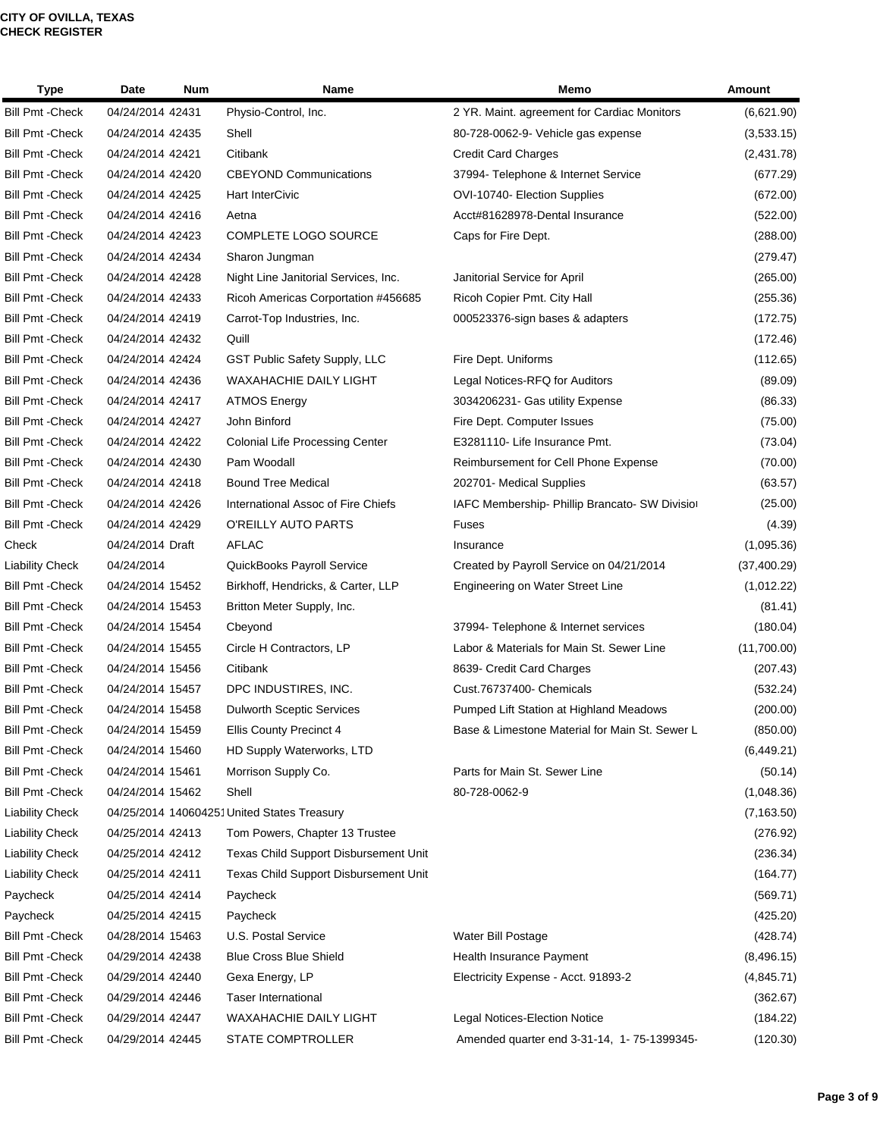| <b>Type</b>             | Date<br><b>Num</b> | Name                                       | Memo                                           | <b>Amount</b> |
|-------------------------|--------------------|--------------------------------------------|------------------------------------------------|---------------|
| <b>Bill Pmt - Check</b> | 04/24/2014 42431   | Physio-Control, Inc.                       | 2 YR. Maint. agreement for Cardiac Monitors    | (6,621.90)    |
| <b>Bill Pmt - Check</b> | 04/24/2014 42435   | Shell                                      | 80-728-0062-9- Vehicle gas expense             | (3,533.15)    |
| <b>Bill Pmt - Check</b> | 04/24/2014 42421   | Citibank                                   | <b>Credit Card Charges</b>                     | (2,431.78)    |
| <b>Bill Pmt - Check</b> | 04/24/2014 42420   | <b>CBEYOND Communications</b>              | 37994- Telephone & Internet Service            | (677.29)      |
| <b>Bill Pmt - Check</b> | 04/24/2014 42425   | <b>Hart InterCivic</b>                     | OVI-10740- Election Supplies                   | (672.00)      |
| <b>Bill Pmt - Check</b> | 04/24/2014 42416   | Aetna                                      | Acct#81628978-Dental Insurance                 | (522.00)      |
| <b>Bill Pmt - Check</b> | 04/24/2014 42423   | <b>COMPLETE LOGO SOURCE</b>                | Caps for Fire Dept.                            | (288.00)      |
| <b>Bill Pmt - Check</b> | 04/24/2014 42434   | Sharon Jungman                             |                                                | (279.47)      |
| <b>Bill Pmt - Check</b> | 04/24/2014 42428   | Night Line Janitorial Services, Inc.       | Janitorial Service for April                   | (265.00)      |
| <b>Bill Pmt - Check</b> | 04/24/2014 42433   | Ricoh Americas Corportation #456685        | Ricoh Copier Pmt. City Hall                    | (255.36)      |
| <b>Bill Pmt - Check</b> | 04/24/2014 42419   | Carrot-Top Industries, Inc.                | 000523376-sign bases & adapters                | (172.75)      |
| <b>Bill Pmt - Check</b> | 04/24/2014 42432   | Quill                                      |                                                | (172.46)      |
| <b>Bill Pmt - Check</b> | 04/24/2014 42424   | GST Public Safety Supply, LLC              | Fire Dept. Uniforms                            | (112.65)      |
| <b>Bill Pmt - Check</b> | 04/24/2014 42436   | <b>WAXAHACHIE DAILY LIGHT</b>              | Legal Notices-RFQ for Auditors                 | (89.09)       |
| <b>Bill Pmt - Check</b> | 04/24/2014 42417   | <b>ATMOS Energy</b>                        | 3034206231- Gas utility Expense                | (86.33)       |
| <b>Bill Pmt - Check</b> | 04/24/2014 42427   | John Binford                               | Fire Dept. Computer Issues                     | (75.00)       |
| <b>Bill Pmt - Check</b> | 04/24/2014 42422   | <b>Colonial Life Processing Center</b>     | E3281110- Life Insurance Pmt.                  | (73.04)       |
| <b>Bill Pmt - Check</b> | 04/24/2014 42430   | Pam Woodall                                | Reimbursement for Cell Phone Expense           | (70.00)       |
| <b>Bill Pmt - Check</b> | 04/24/2014 42418   | <b>Bound Tree Medical</b>                  | 202701- Medical Supplies                       | (63.57)       |
| <b>Bill Pmt - Check</b> | 04/24/2014 42426   | International Assoc of Fire Chiefs         | IAFC Membership- Phillip Brancato- SW Division | (25.00)       |
| <b>Bill Pmt - Check</b> | 04/24/2014 42429   | O'REILLY AUTO PARTS                        | Fuses                                          | (4.39)        |
| Check                   | 04/24/2014 Draft   | <b>AFLAC</b>                               | Insurance                                      | (1,095.36)    |
| <b>Liability Check</b>  | 04/24/2014         | QuickBooks Payroll Service                 | Created by Payroll Service on 04/21/2014       | (37, 400.29)  |
| <b>Bill Pmt - Check</b> | 04/24/2014 15452   | Birkhoff, Hendricks, & Carter, LLP         | Engineering on Water Street Line               | (1,012.22)    |
| <b>Bill Pmt - Check</b> | 04/24/2014 15453   | Britton Meter Supply, Inc.                 |                                                | (81.41)       |
| <b>Bill Pmt - Check</b> | 04/24/2014 15454   | Cbeyond                                    | 37994- Telephone & Internet services           | (180.04)      |
| <b>Bill Pmt - Check</b> | 04/24/2014 15455   | Circle H Contractors, LP                   | Labor & Materials for Main St. Sewer Line      | (11,700.00)   |
| <b>Bill Pmt - Check</b> | 04/24/2014 15456   | Citibank                                   | 8639- Credit Card Charges                      | (207.43)      |
| <b>Bill Pmt - Check</b> | 04/24/2014 15457   | DPC INDUSTIRES, INC.                       | Cust.76737400- Chemicals                       | (532.24)      |
| <b>Bill Pmt - Check</b> | 04/24/2014 15458   | <b>Dulworth Sceptic Services</b>           | Pumped Lift Station at Highland Meadows        | (200.00)      |
| <b>Bill Pmt - Check</b> | 04/24/2014 15459   | <b>Ellis County Precinct 4</b>             | Base & Limestone Material for Main St. Sewer L | (850.00)      |
| <b>Bill Pmt - Check</b> | 04/24/2014 15460   | HD Supply Waterworks, LTD                  |                                                | (6,449.21)    |
| <b>Bill Pmt - Check</b> | 04/24/2014 15461   | Morrison Supply Co.                        | Parts for Main St. Sewer Line                  | (50.14)       |
| <b>Bill Pmt - Check</b> | 04/24/2014 15462   | Shell                                      | 80-728-0062-9                                  | (1,048.36)    |
| <b>Liability Check</b>  |                    | 04/25/2014 140604251United States Treasury |                                                | (7, 163.50)   |
| <b>Liability Check</b>  | 04/25/2014 42413   | Tom Powers, Chapter 13 Trustee             |                                                | (276.92)      |
| <b>Liability Check</b>  | 04/25/2014 42412   | Texas Child Support Disbursement Unit      |                                                | (236.34)      |
| <b>Liability Check</b>  | 04/25/2014 42411   | Texas Child Support Disbursement Unit      |                                                | (164.77)      |
| Paycheck                | 04/25/2014 42414   | Paycheck                                   |                                                | (569.71)      |
| Paycheck                | 04/25/2014 42415   | Paycheck                                   |                                                | (425.20)      |
| <b>Bill Pmt - Check</b> | 04/28/2014 15463   | U.S. Postal Service                        | Water Bill Postage                             | (428.74)      |
| <b>Bill Pmt - Check</b> | 04/29/2014 42438   | <b>Blue Cross Blue Shield</b>              | Health Insurance Payment                       | (8,496.15)    |
| <b>Bill Pmt - Check</b> | 04/29/2014 42440   | Gexa Energy, LP                            | Electricity Expense - Acct. 91893-2            | (4,845.71)    |
| <b>Bill Pmt - Check</b> | 04/29/2014 42446   | <b>Taser International</b>                 |                                                | (362.67)      |
| <b>Bill Pmt - Check</b> | 04/29/2014 42447   | WAXAHACHIE DAILY LIGHT                     | Legal Notices-Election Notice                  | (184.22)      |
| <b>Bill Pmt - Check</b> | 04/29/2014 42445   | STATE COMPTROLLER                          | Amended quarter end 3-31-14, 1-75-1399345-     | (120.30)      |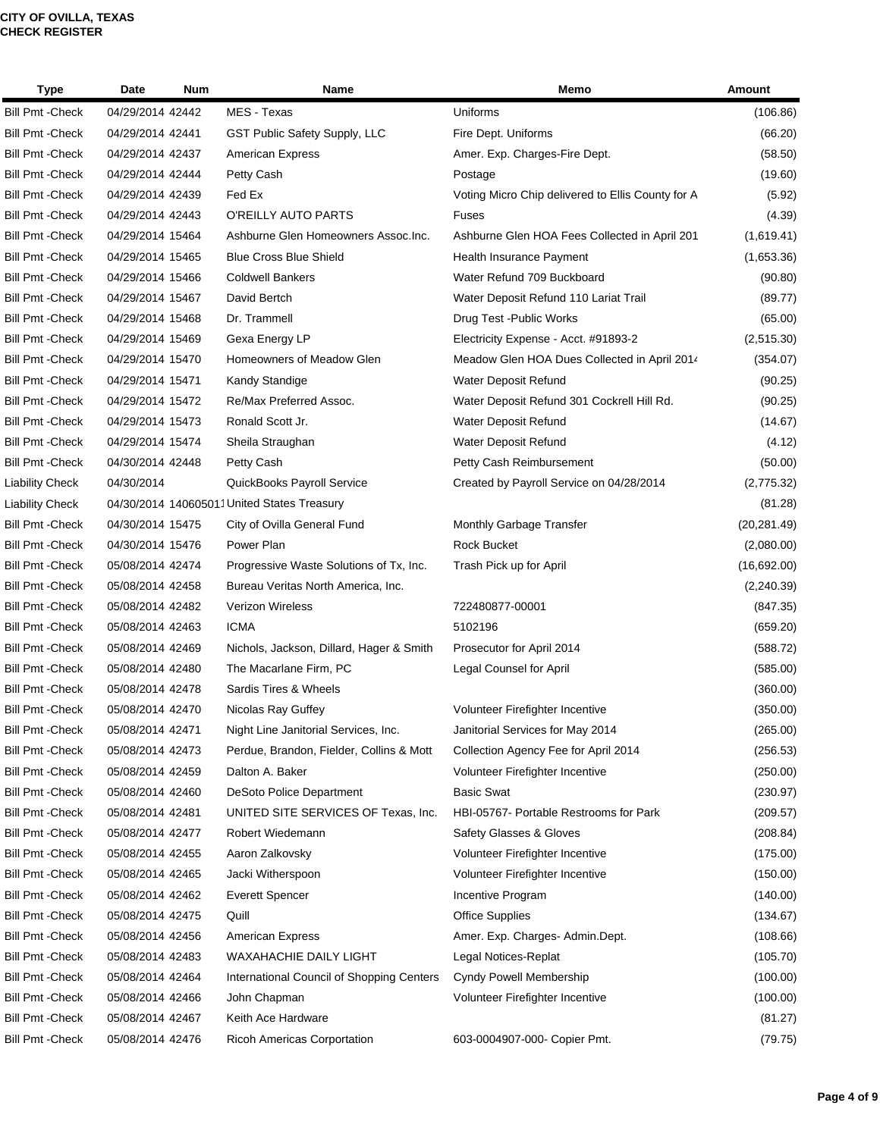| <b>Type</b>             | Date             | <b>Num</b> | Name                                       | Memo                                              | Amount       |
|-------------------------|------------------|------------|--------------------------------------------|---------------------------------------------------|--------------|
| <b>Bill Pmt - Check</b> | 04/29/2014 42442 |            | MES - Texas                                | Uniforms                                          | (106.86)     |
| <b>Bill Pmt - Check</b> | 04/29/2014 42441 |            | GST Public Safety Supply, LLC              | Fire Dept. Uniforms                               | (66.20)      |
| <b>Bill Pmt - Check</b> | 04/29/2014 42437 |            | <b>American Express</b>                    | Amer. Exp. Charges-Fire Dept.                     | (58.50)      |
| <b>Bill Pmt - Check</b> | 04/29/2014 42444 |            | Petty Cash                                 | Postage                                           | (19.60)      |
| <b>Bill Pmt - Check</b> | 04/29/2014 42439 |            | Fed Ex                                     | Voting Micro Chip delivered to Ellis County for A | (5.92)       |
| <b>Bill Pmt - Check</b> | 04/29/2014 42443 |            | O'REILLY AUTO PARTS                        | Fuses                                             | (4.39)       |
| <b>Bill Pmt - Check</b> | 04/29/2014 15464 |            | Ashburne Glen Homeowners Assoc. Inc.       | Ashburne Glen HOA Fees Collected in April 201     | (1,619.41)   |
| <b>Bill Pmt - Check</b> | 04/29/2014 15465 |            | <b>Blue Cross Blue Shield</b>              | Health Insurance Payment                          | (1,653.36)   |
| <b>Bill Pmt - Check</b> | 04/29/2014 15466 |            | <b>Coldwell Bankers</b>                    | Water Refund 709 Buckboard                        | (90.80)      |
| <b>Bill Pmt - Check</b> | 04/29/2014 15467 |            | David Bertch                               | Water Deposit Refund 110 Lariat Trail             | (89.77)      |
| <b>Bill Pmt - Check</b> | 04/29/2014 15468 |            | Dr. Trammell                               | Drug Test - Public Works                          | (65.00)      |
| <b>Bill Pmt - Check</b> | 04/29/2014 15469 |            | Gexa Energy LP                             | Electricity Expense - Acct. #91893-2              | (2,515.30)   |
| <b>Bill Pmt - Check</b> | 04/29/2014 15470 |            | Homeowners of Meadow Glen                  | Meadow Glen HOA Dues Collected in April 2014      | (354.07)     |
| <b>Bill Pmt - Check</b> | 04/29/2014 15471 |            | Kandy Standige                             | Water Deposit Refund                              | (90.25)      |
| <b>Bill Pmt - Check</b> | 04/29/2014 15472 |            | Re/Max Preferred Assoc.                    | Water Deposit Refund 301 Cockrell Hill Rd.        | (90.25)      |
| <b>Bill Pmt - Check</b> | 04/29/2014 15473 |            | Ronald Scott Jr.                           | Water Deposit Refund                              | (14.67)      |
| <b>Bill Pmt - Check</b> | 04/29/2014 15474 |            | Sheila Straughan                           | Water Deposit Refund                              | (4.12)       |
| <b>Bill Pmt - Check</b> | 04/30/2014 42448 |            | Petty Cash                                 | Petty Cash Reimbursement                          | (50.00)      |
| <b>Liability Check</b>  | 04/30/2014       |            | QuickBooks Payroll Service                 | Created by Payroll Service on 04/28/2014          | (2,775.32)   |
| <b>Liability Check</b>  |                  |            | 04/30/2014 140605011United States Treasury |                                                   | (81.28)      |
| <b>Bill Pmt - Check</b> | 04/30/2014 15475 |            | City of Ovilla General Fund                | Monthly Garbage Transfer                          | (20, 281.49) |
| <b>Bill Pmt - Check</b> | 04/30/2014 15476 |            | Power Plan                                 | <b>Rock Bucket</b>                                | (2,080.00)   |
| <b>Bill Pmt - Check</b> | 05/08/2014 42474 |            | Progressive Waste Solutions of Tx, Inc.    | Trash Pick up for April                           | (16,692.00)  |
| <b>Bill Pmt - Check</b> | 05/08/2014 42458 |            | Bureau Veritas North America, Inc.         |                                                   | (2,240.39)   |
| <b>Bill Pmt - Check</b> | 05/08/2014 42482 |            | <b>Verizon Wireless</b>                    | 722480877-00001                                   | (847.35)     |
| <b>Bill Pmt - Check</b> | 05/08/2014 42463 |            | <b>ICMA</b>                                | 5102196                                           | (659.20)     |
| <b>Bill Pmt - Check</b> | 05/08/2014 42469 |            | Nichols, Jackson, Dillard, Hager & Smith   | Prosecutor for April 2014                         | (588.72)     |
| <b>Bill Pmt - Check</b> | 05/08/2014 42480 |            | The Macarlane Firm, PC                     | Legal Counsel for April                           | (585.00)     |
| <b>Bill Pmt - Check</b> | 05/08/2014 42478 |            | Sardis Tires & Wheels                      |                                                   | (360.00)     |
| <b>Bill Pmt - Check</b> | 05/08/2014 42470 |            | Nicolas Ray Guffey                         | Volunteer Firefighter Incentive                   | (350.00)     |
| <b>Bill Pmt - Check</b> | 05/08/2014 42471 |            | Night Line Janitorial Services, Inc.       | Janitorial Services for May 2014                  | (265.00)     |
| <b>Bill Pmt - Check</b> | 05/08/2014 42473 |            | Perdue, Brandon, Fielder, Collins & Mott   | Collection Agency Fee for April 2014              | (256.53)     |
| <b>Bill Pmt - Check</b> | 05/08/2014 42459 |            | Dalton A. Baker                            | Volunteer Firefighter Incentive                   | (250.00)     |
| <b>Bill Pmt - Check</b> | 05/08/2014 42460 |            | <b>DeSoto Police Department</b>            | <b>Basic Swat</b>                                 | (230.97)     |
| <b>Bill Pmt - Check</b> | 05/08/2014 42481 |            | UNITED SITE SERVICES OF Texas, Inc.        | HBI-05767- Portable Restrooms for Park            | (209.57)     |
| <b>Bill Pmt - Check</b> | 05/08/2014 42477 |            | Robert Wiedemann                           | Safety Glasses & Gloves                           | (208.84)     |
| <b>Bill Pmt - Check</b> | 05/08/2014 42455 |            | Aaron Zalkovsky                            | Volunteer Firefighter Incentive                   | (175.00)     |
| <b>Bill Pmt - Check</b> | 05/08/2014 42465 |            | Jacki Witherspoon                          | Volunteer Firefighter Incentive                   | (150.00)     |
| <b>Bill Pmt - Check</b> | 05/08/2014 42462 |            | <b>Everett Spencer</b>                     | Incentive Program                                 | (140.00)     |
| <b>Bill Pmt - Check</b> | 05/08/2014 42475 |            | Quill                                      | <b>Office Supplies</b>                            | (134.67)     |
| <b>Bill Pmt - Check</b> | 05/08/2014 42456 |            | <b>American Express</b>                    | Amer. Exp. Charges- Admin.Dept.                   | (108.66)     |
| <b>Bill Pmt - Check</b> | 05/08/2014 42483 |            | WAXAHACHIE DAILY LIGHT                     | Legal Notices-Replat                              | (105.70)     |
| <b>Bill Pmt - Check</b> | 05/08/2014 42464 |            | International Council of Shopping Centers  | Cyndy Powell Membership                           | (100.00)     |
| <b>Bill Pmt - Check</b> | 05/08/2014 42466 |            | John Chapman                               | Volunteer Firefighter Incentive                   | (100.00)     |
| <b>Bill Pmt - Check</b> | 05/08/2014 42467 |            | Keith Ace Hardware                         |                                                   | (81.27)      |
| <b>Bill Pmt - Check</b> | 05/08/2014 42476 |            | Ricoh Americas Corportation                | 603-0004907-000- Copier Pmt.                      | (79.75)      |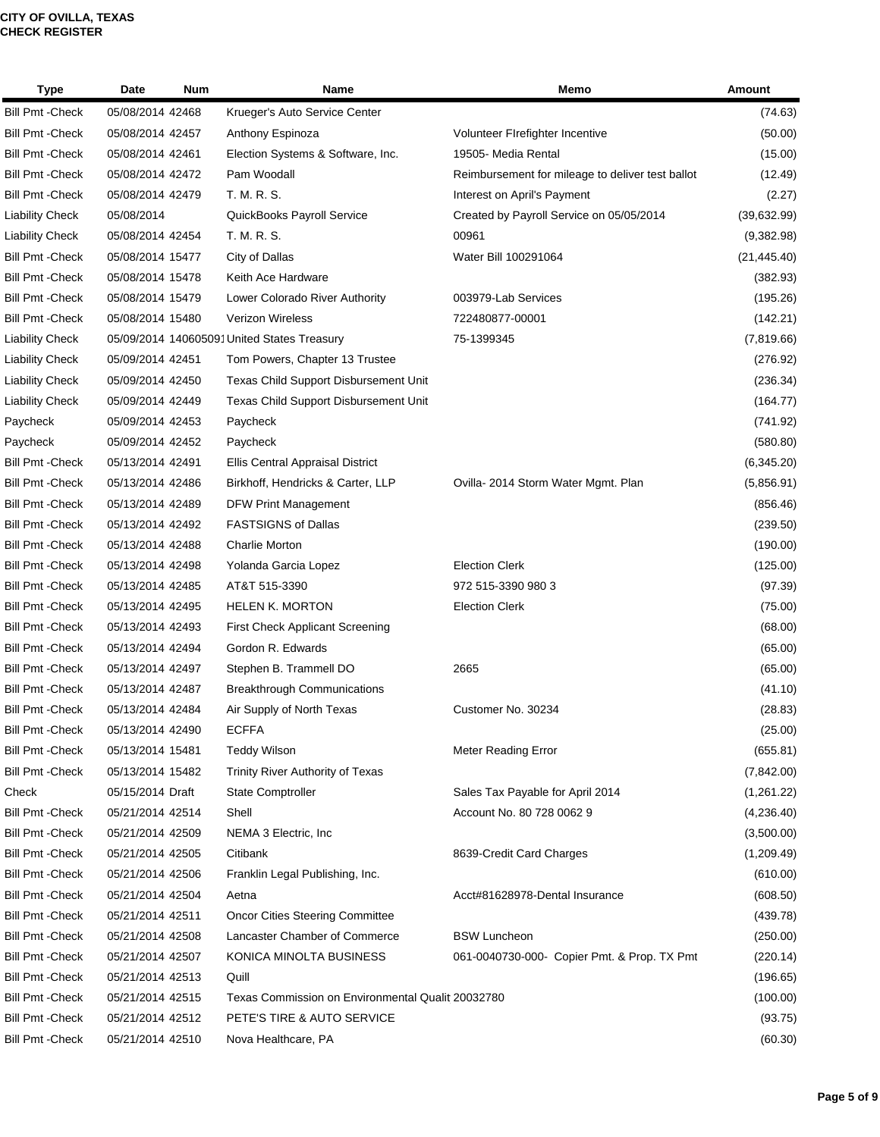| <b>Type</b>             | Date             | <b>Num</b> | Name                                              | Memo                                             | Amount       |
|-------------------------|------------------|------------|---------------------------------------------------|--------------------------------------------------|--------------|
| <b>Bill Pmt - Check</b> | 05/08/2014 42468 |            | Krueger's Auto Service Center                     |                                                  | (74.63)      |
| <b>Bill Pmt - Check</b> | 05/08/2014 42457 |            | Anthony Espinoza                                  | Volunteer Firefighter Incentive                  | (50.00)      |
| <b>Bill Pmt - Check</b> | 05/08/2014 42461 |            | Election Systems & Software, Inc.                 | 19505- Media Rental                              | (15.00)      |
| <b>Bill Pmt - Check</b> | 05/08/2014 42472 |            | Pam Woodall                                       | Reimbursement for mileage to deliver test ballot | (12.49)      |
| <b>Bill Pmt - Check</b> | 05/08/2014 42479 |            | T. M. R. S.                                       | Interest on April's Payment                      | (2.27)       |
| <b>Liability Check</b>  | 05/08/2014       |            | QuickBooks Payroll Service                        | Created by Payroll Service on 05/05/2014         | (39,632.99)  |
| <b>Liability Check</b>  | 05/08/2014 42454 |            | T. M. R. S.                                       | 00961                                            | (9,382.98)   |
| <b>Bill Pmt - Check</b> | 05/08/2014 15477 |            | City of Dallas                                    | Water Bill 100291064                             | (21, 445.40) |
| <b>Bill Pmt - Check</b> | 05/08/2014 15478 |            | Keith Ace Hardware                                |                                                  | (382.93)     |
| <b>Bill Pmt - Check</b> | 05/08/2014 15479 |            | Lower Colorado River Authority                    | 003979-Lab Services                              | (195.26)     |
| <b>Bill Pmt - Check</b> | 05/08/2014 15480 |            | <b>Verizon Wireless</b>                           | 722480877-00001                                  | (142.21)     |
| <b>Liability Check</b>  |                  |            | 05/09/2014 140605091United States Treasury        | 75-1399345                                       | (7,819.66)   |
| <b>Liability Check</b>  | 05/09/2014 42451 |            | Tom Powers, Chapter 13 Trustee                    |                                                  | (276.92)     |
| <b>Liability Check</b>  | 05/09/2014 42450 |            | <b>Texas Child Support Disbursement Unit</b>      |                                                  | (236.34)     |
| <b>Liability Check</b>  | 05/09/2014 42449 |            | <b>Texas Child Support Disbursement Unit</b>      |                                                  | (164.77)     |
| Paycheck                | 05/09/2014 42453 |            | Paycheck                                          |                                                  | (741.92)     |
| Paycheck                | 05/09/2014 42452 |            | Paycheck                                          |                                                  | (580.80)     |
| <b>Bill Pmt - Check</b> | 05/13/2014 42491 |            | <b>Ellis Central Appraisal District</b>           |                                                  | (6,345.20)   |
| <b>Bill Pmt - Check</b> | 05/13/2014 42486 |            | Birkhoff, Hendricks & Carter, LLP                 | Ovilla-2014 Storm Water Mgmt. Plan               | (5,856.91)   |
| <b>Bill Pmt - Check</b> | 05/13/2014 42489 |            | <b>DFW Print Management</b>                       |                                                  | (856.46)     |
| <b>Bill Pmt - Check</b> | 05/13/2014 42492 |            | <b>FASTSIGNS of Dallas</b>                        |                                                  | (239.50)     |
| <b>Bill Pmt - Check</b> | 05/13/2014 42488 |            | <b>Charlie Morton</b>                             |                                                  | (190.00)     |
| <b>Bill Pmt - Check</b> | 05/13/2014 42498 |            | Yolanda Garcia Lopez                              | <b>Election Clerk</b>                            | (125.00)     |
| <b>Bill Pmt - Check</b> | 05/13/2014 42485 |            | AT&T 515-3390                                     | 972 515-3390 980 3                               | (97.39)      |
| <b>Bill Pmt - Check</b> | 05/13/2014 42495 |            | <b>HELEN K. MORTON</b>                            | <b>Election Clerk</b>                            | (75.00)      |
| <b>Bill Pmt - Check</b> | 05/13/2014 42493 |            | <b>First Check Applicant Screening</b>            |                                                  | (68.00)      |
| <b>Bill Pmt - Check</b> | 05/13/2014 42494 |            | Gordon R. Edwards                                 |                                                  | (65.00)      |
| <b>Bill Pmt - Check</b> | 05/13/2014 42497 |            | Stephen B. Trammell DO                            | 2665                                             | (65.00)      |
| <b>Bill Pmt - Check</b> | 05/13/2014 42487 |            | <b>Breakthrough Communications</b>                |                                                  | (41.10)      |
| Bill Pmt - Check        | 05/13/2014 42484 |            | Air Supply of North Texas                         | Customer No. 30234                               | (28.83)      |
| <b>Bill Pmt - Check</b> | 05/13/2014 42490 |            | <b>ECFFA</b>                                      |                                                  | (25.00)      |
| <b>Bill Pmt - Check</b> | 05/13/2014 15481 |            | <b>Teddy Wilson</b>                               | <b>Meter Reading Error</b>                       | (655.81)     |
| <b>Bill Pmt - Check</b> | 05/13/2014 15482 |            | Trinity River Authority of Texas                  |                                                  | (7,842.00)   |
| Check                   | 05/15/2014 Draft |            | <b>State Comptroller</b>                          | Sales Tax Payable for April 2014                 | (1,261.22)   |
| <b>Bill Pmt - Check</b> | 05/21/2014 42514 |            | Shell                                             | Account No. 80 728 0062 9                        | (4,236.40)   |
| <b>Bill Pmt - Check</b> | 05/21/2014 42509 |            | NEMA 3 Electric, Inc                              |                                                  | (3,500.00)   |
| <b>Bill Pmt - Check</b> | 05/21/2014 42505 |            | Citibank                                          | 8639-Credit Card Charges                         | (1,209.49)   |
| <b>Bill Pmt - Check</b> | 05/21/2014 42506 |            | Franklin Legal Publishing, Inc.                   |                                                  | (610.00)     |
| <b>Bill Pmt - Check</b> | 05/21/2014 42504 |            | Aetna                                             | Acct#81628978-Dental Insurance                   | (608.50)     |
| <b>Bill Pmt - Check</b> | 05/21/2014 42511 |            | <b>Oncor Cities Steering Committee</b>            |                                                  | (439.78)     |
| <b>Bill Pmt - Check</b> | 05/21/2014 42508 |            | Lancaster Chamber of Commerce                     | <b>BSW Luncheon</b>                              | (250.00)     |
| <b>Bill Pmt - Check</b> | 05/21/2014 42507 |            | KONICA MINOLTA BUSINESS                           | 061-0040730-000- Copier Pmt. & Prop. TX Pmt      | (220.14)     |
| <b>Bill Pmt - Check</b> | 05/21/2014 42513 |            | Quill                                             |                                                  | (196.65)     |
| <b>Bill Pmt - Check</b> | 05/21/2014 42515 |            | Texas Commission on Environmental Qualit 20032780 |                                                  | (100.00)     |
| <b>Bill Pmt - Check</b> | 05/21/2014 42512 |            | PETE'S TIRE & AUTO SERVICE                        |                                                  | (93.75)      |
| <b>Bill Pmt - Check</b> | 05/21/2014 42510 |            | Nova Healthcare, PA                               |                                                  | (60.30)      |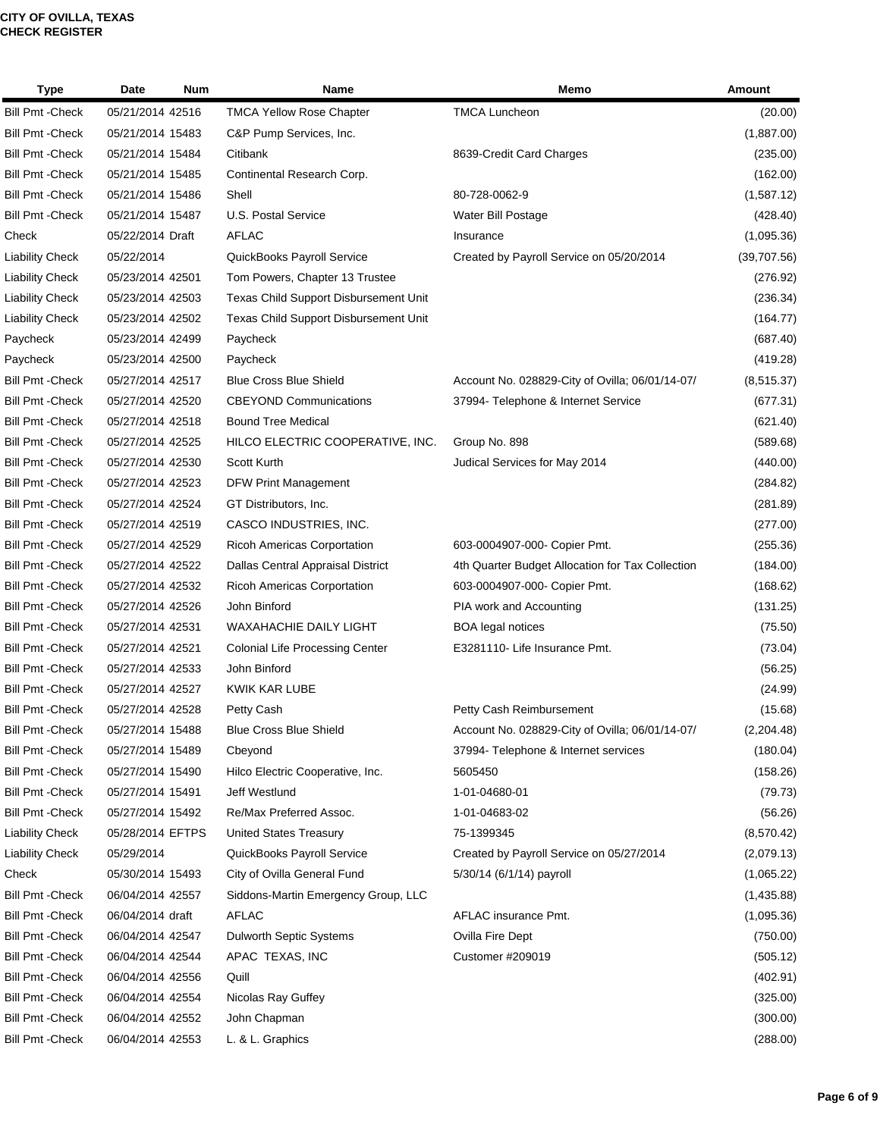| <b>Type</b>             | Date             | Num | Name                                   | Memo                                             | Amount      |
|-------------------------|------------------|-----|----------------------------------------|--------------------------------------------------|-------------|
| <b>Bill Pmt - Check</b> | 05/21/2014 42516 |     | <b>TMCA Yellow Rose Chapter</b>        | <b>TMCA Luncheon</b>                             | (20.00)     |
| <b>Bill Pmt - Check</b> | 05/21/2014 15483 |     | C&P Pump Services, Inc.                |                                                  | (1,887.00)  |
| <b>Bill Pmt - Check</b> | 05/21/2014 15484 |     | Citibank                               | 8639-Credit Card Charges                         | (235.00)    |
| <b>Bill Pmt - Check</b> | 05/21/2014 15485 |     | Continental Research Corp.             |                                                  | (162.00)    |
| <b>Bill Pmt - Check</b> | 05/21/2014 15486 |     | Shell                                  | 80-728-0062-9                                    | (1,587.12)  |
| <b>Bill Pmt - Check</b> | 05/21/2014 15487 |     | U.S. Postal Service                    | Water Bill Postage                               | (428.40)    |
| Check                   | 05/22/2014 Draft |     | <b>AFLAC</b>                           | Insurance                                        | (1,095.36)  |
| <b>Liability Check</b>  | 05/22/2014       |     | QuickBooks Payroll Service             | Created by Payroll Service on 05/20/2014         | (39,707.56) |
| <b>Liability Check</b>  | 05/23/2014 42501 |     | Tom Powers, Chapter 13 Trustee         |                                                  | (276.92)    |
| <b>Liability Check</b>  | 05/23/2014 42503 |     | Texas Child Support Disbursement Unit  |                                                  | (236.34)    |
| <b>Liability Check</b>  | 05/23/2014 42502 |     | Texas Child Support Disbursement Unit  |                                                  | (164.77)    |
| Paycheck                | 05/23/2014 42499 |     | Paycheck                               |                                                  | (687.40)    |
| Paycheck                | 05/23/2014 42500 |     | Paycheck                               |                                                  | (419.28)    |
| <b>Bill Pmt - Check</b> | 05/27/2014 42517 |     | <b>Blue Cross Blue Shield</b>          | Account No. 028829-City of Ovilla; 06/01/14-07/  | (8, 515.37) |
| <b>Bill Pmt - Check</b> | 05/27/2014 42520 |     | <b>CBEYOND Communications</b>          | 37994- Telephone & Internet Service              | (677.31)    |
| <b>Bill Pmt - Check</b> | 05/27/2014 42518 |     | <b>Bound Tree Medical</b>              |                                                  | (621.40)    |
| <b>Bill Pmt - Check</b> | 05/27/2014 42525 |     | HILCO ELECTRIC COOPERATIVE, INC.       | Group No. 898                                    | (589.68)    |
| <b>Bill Pmt - Check</b> | 05/27/2014 42530 |     | Scott Kurth                            | Judical Services for May 2014                    | (440.00)    |
| <b>Bill Pmt - Check</b> | 05/27/2014 42523 |     | <b>DFW Print Management</b>            |                                                  | (284.82)    |
| <b>Bill Pmt - Check</b> | 05/27/2014 42524 |     | GT Distributors, Inc.                  |                                                  | (281.89)    |
| <b>Bill Pmt - Check</b> | 05/27/2014 42519 |     | CASCO INDUSTRIES, INC.                 |                                                  | (277.00)    |
| <b>Bill Pmt - Check</b> | 05/27/2014 42529 |     | Ricoh Americas Corportation            | 603-0004907-000- Copier Pmt.                     | (255.36)    |
| <b>Bill Pmt - Check</b> | 05/27/2014 42522 |     | Dallas Central Appraisal District      | 4th Quarter Budget Allocation for Tax Collection | (184.00)    |
| <b>Bill Pmt - Check</b> | 05/27/2014 42532 |     | Ricoh Americas Corportation            | 603-0004907-000- Copier Pmt.                     | (168.62)    |
| <b>Bill Pmt - Check</b> | 05/27/2014 42526 |     | John Binford                           | PIA work and Accounting                          | (131.25)    |
| <b>Bill Pmt - Check</b> | 05/27/2014 42531 |     | <b>WAXAHACHIE DAILY LIGHT</b>          | <b>BOA</b> legal notices                         | (75.50)     |
| <b>Bill Pmt - Check</b> | 05/27/2014 42521 |     | <b>Colonial Life Processing Center</b> | E3281110- Life Insurance Pmt.                    | (73.04)     |
| <b>Bill Pmt - Check</b> | 05/27/2014 42533 |     | John Binford                           |                                                  | (56.25)     |
| <b>Bill Pmt - Check</b> | 05/27/2014 42527 |     | KWIK KAR LUBE                          |                                                  | (24.99)     |
| <b>Bill Pmt - Check</b> | 05/27/2014 42528 |     | Petty Cash                             | Petty Cash Reimbursement                         | (15.68)     |
| <b>Bill Pmt - Check</b> | 05/27/2014 15488 |     | <b>Blue Cross Blue Shield</b>          | Account No. 028829-City of Ovilla; 06/01/14-07/  | (2,204.48)  |
| <b>Bill Pmt - Check</b> | 05/27/2014 15489 |     | Cbeyond                                | 37994- Telephone & Internet services             | (180.04)    |
| <b>Bill Pmt - Check</b> | 05/27/2014 15490 |     | Hilco Electric Cooperative, Inc.       | 5605450                                          | (158.26)    |
| <b>Bill Pmt - Check</b> | 05/27/2014 15491 |     | Jeff Westlund                          | 1-01-04680-01                                    | (79.73)     |
| <b>Bill Pmt - Check</b> | 05/27/2014 15492 |     | Re/Max Preferred Assoc.                | 1-01-04683-02                                    | (56.26)     |
| <b>Liability Check</b>  | 05/28/2014 EFTPS |     | <b>United States Treasury</b>          | 75-1399345                                       | (8,570.42)  |
| <b>Liability Check</b>  | 05/29/2014       |     | QuickBooks Payroll Service             | Created by Payroll Service on 05/27/2014         | (2,079.13)  |
| Check                   | 05/30/2014 15493 |     | City of Ovilla General Fund            | 5/30/14 (6/1/14) payroll                         | (1,065.22)  |
| <b>Bill Pmt - Check</b> | 06/04/2014 42557 |     | Siddons-Martin Emergency Group, LLC    |                                                  | (1,435.88)  |
| <b>Bill Pmt - Check</b> | 06/04/2014 draft |     | AFLAC                                  | AFLAC insurance Pmt.                             | (1,095.36)  |
| <b>Bill Pmt - Check</b> | 06/04/2014 42547 |     | Dulworth Septic Systems                | Ovilla Fire Dept                                 | (750.00)    |
| <b>Bill Pmt - Check</b> | 06/04/2014 42544 |     | APAC TEXAS, INC                        | Customer #209019                                 | (505.12)    |
| <b>Bill Pmt - Check</b> | 06/04/2014 42556 |     | Quill                                  |                                                  | (402.91)    |
| <b>Bill Pmt - Check</b> | 06/04/2014 42554 |     | Nicolas Ray Guffey                     |                                                  | (325.00)    |
| <b>Bill Pmt - Check</b> | 06/04/2014 42552 |     | John Chapman                           |                                                  | (300.00)    |
| <b>Bill Pmt - Check</b> | 06/04/2014 42553 |     | L. & L. Graphics                       |                                                  | (288.00)    |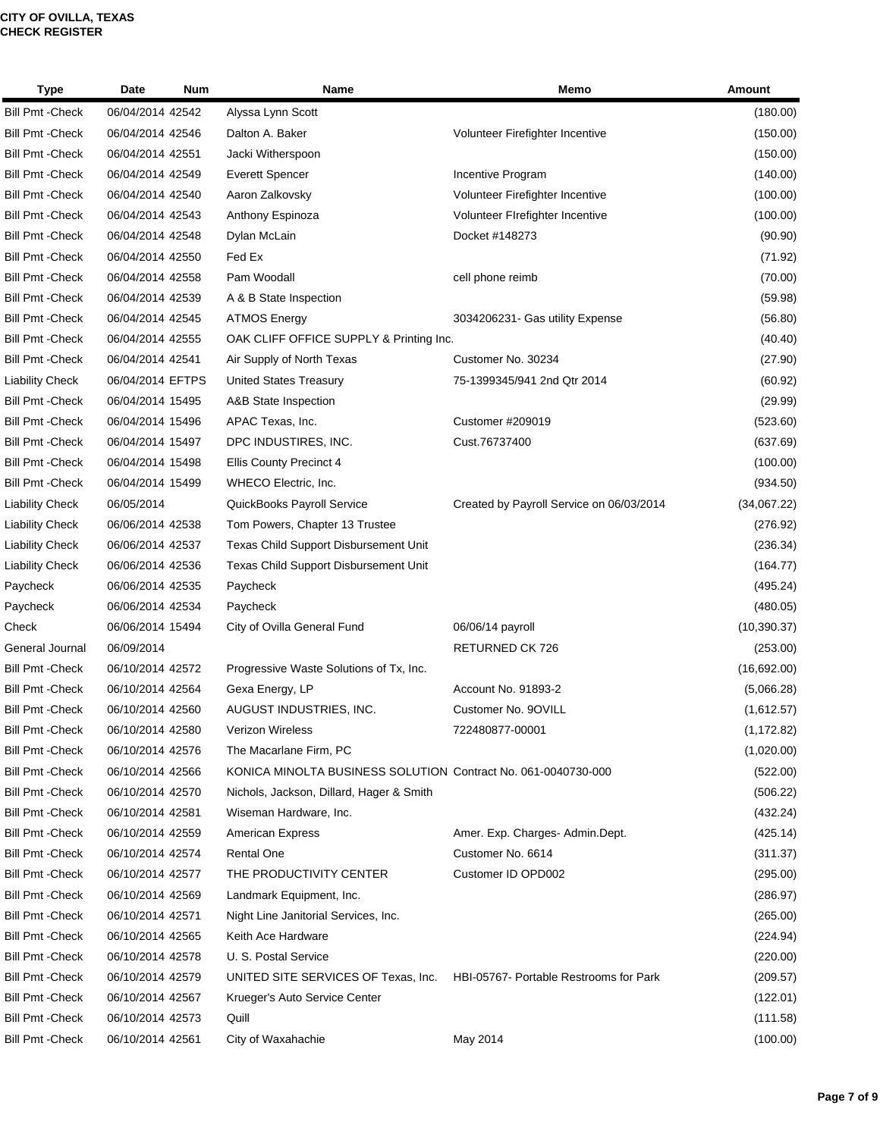| <b>Type</b>             | Date             | Num | Name                                                          | Memo                                     | <b>Amount</b> |
|-------------------------|------------------|-----|---------------------------------------------------------------|------------------------------------------|---------------|
| <b>Bill Pmt - Check</b> | 06/04/2014 42542 |     | Alyssa Lynn Scott                                             |                                          | (180.00)      |
| <b>Bill Pmt - Check</b> | 06/04/2014 42546 |     | Dalton A. Baker                                               | Volunteer Firefighter Incentive          | (150.00)      |
| <b>Bill Pmt - Check</b> | 06/04/2014 42551 |     | Jacki Witherspoon                                             |                                          | (150.00)      |
| <b>Bill Pmt - Check</b> | 06/04/2014 42549 |     | Everett Spencer                                               | Incentive Program                        | (140.00)      |
| <b>Bill Pmt - Check</b> | 06/04/2014 42540 |     | Aaron Zalkovsky                                               | Volunteer Firefighter Incentive          | (100.00)      |
| <b>Bill Pmt - Check</b> | 06/04/2014 42543 |     | Anthony Espinoza                                              | Volunteer Firefighter Incentive          | (100.00)      |
| <b>Bill Pmt - Check</b> | 06/04/2014 42548 |     | Dylan McLain                                                  | Docket #148273                           | (90.90)       |
| <b>Bill Pmt - Check</b> | 06/04/2014 42550 |     | Fed Ex                                                        |                                          | (71.92)       |
| <b>Bill Pmt - Check</b> | 06/04/2014 42558 |     | Pam Woodall                                                   | cell phone reimb                         | (70.00)       |
| <b>Bill Pmt - Check</b> | 06/04/2014 42539 |     | A & B State Inspection                                        |                                          | (59.98)       |
| <b>Bill Pmt - Check</b> | 06/04/2014 42545 |     | <b>ATMOS Energy</b>                                           | 3034206231- Gas utility Expense          | (56.80)       |
| <b>Bill Pmt - Check</b> | 06/04/2014 42555 |     | OAK CLIFF OFFICE SUPPLY & Printing Inc.                       |                                          | (40.40)       |
| <b>Bill Pmt - Check</b> | 06/04/2014 42541 |     | Air Supply of North Texas                                     | Customer No. 30234                       | (27.90)       |
| <b>Liability Check</b>  | 06/04/2014 EFTPS |     | <b>United States Treasury</b>                                 | 75-1399345/941 2nd Qtr 2014              | (60.92)       |
| <b>Bill Pmt -Check</b>  | 06/04/2014 15495 |     | A&B State Inspection                                          |                                          | (29.99)       |
| <b>Bill Pmt - Check</b> | 06/04/2014 15496 |     | APAC Texas, Inc.                                              | Customer #209019                         | (523.60)      |
| <b>Bill Pmt - Check</b> | 06/04/2014 15497 |     | DPC INDUSTIRES, INC.                                          | Cust.76737400                            | (637.69)      |
| <b>Bill Pmt - Check</b> | 06/04/2014 15498 |     | <b>Ellis County Precinct 4</b>                                |                                          | (100.00)      |
| <b>Bill Pmt - Check</b> | 06/04/2014 15499 |     | WHECO Electric, Inc.                                          |                                          | (934.50)      |
| <b>Liability Check</b>  | 06/05/2014       |     | QuickBooks Payroll Service                                    | Created by Payroll Service on 06/03/2014 | (34,067.22)   |
| <b>Liability Check</b>  | 06/06/2014 42538 |     | Tom Powers, Chapter 13 Trustee                                |                                          | (276.92)      |
| <b>Liability Check</b>  | 06/06/2014 42537 |     | Texas Child Support Disbursement Unit                         |                                          | (236.34)      |
| <b>Liability Check</b>  | 06/06/2014 42536 |     | Texas Child Support Disbursement Unit                         |                                          | (164.77)      |
| Paycheck                | 06/06/2014 42535 |     | Paycheck                                                      |                                          | (495.24)      |
| Paycheck                | 06/06/2014 42534 |     | Paycheck                                                      |                                          | (480.05)      |
| Check                   | 06/06/2014 15494 |     | City of Ovilla General Fund                                   | 06/06/14 payroll                         | (10, 390.37)  |
| General Journal         | 06/09/2014       |     |                                                               | RETURNED CK 726                          | (253.00)      |
| <b>Bill Pmt - Check</b> | 06/10/2014 42572 |     | Progressive Waste Solutions of Tx, Inc.                       |                                          | (16,692.00)   |
| <b>Bill Pmt - Check</b> | 06/10/2014 42564 |     | Gexa Energy, LP                                               | <b>Account No. 91893-2</b>               | (5,066.28)    |
| <b>Bill Pmt - Check</b> | 06/10/2014 42560 |     | AUGUST INDUSTRIES, INC.                                       | Customer No. 90VILL                      | (1,612.57)    |
| <b>Bill Pmt - Check</b> | 06/10/2014 42580 |     | Verizon Wireless                                              | 722480877-00001                          | (1, 172.82)   |
| <b>Bill Pmt - Check</b> | 06/10/2014 42576 |     | The Macarlane Firm, PC                                        |                                          | (1,020.00)    |
| <b>Bill Pmt - Check</b> | 06/10/2014 42566 |     | KONICA MINOLTA BUSINESS SOLUTION Contract No. 061-0040730-000 |                                          | (522.00)      |
| <b>Bill Pmt - Check</b> | 06/10/2014 42570 |     | Nichols, Jackson, Dillard, Hager & Smith                      |                                          | (506.22)      |
| <b>Bill Pmt - Check</b> | 06/10/2014 42581 |     | Wiseman Hardware, Inc.                                        |                                          | (432.24)      |
| <b>Bill Pmt - Check</b> | 06/10/2014 42559 |     | American Express                                              | Amer. Exp. Charges- Admin.Dept.          | (425.14)      |
| <b>Bill Pmt - Check</b> | 06/10/2014 42574 |     | Rental One                                                    | Customer No. 6614                        | (311.37)      |
| <b>Bill Pmt - Check</b> | 06/10/2014 42577 |     | THE PRODUCTIVITY CENTER                                       | Customer ID OPD002                       | (295.00)      |
| <b>Bill Pmt - Check</b> | 06/10/2014 42569 |     | Landmark Equipment, Inc.                                      |                                          | (286.97)      |
| <b>Bill Pmt - Check</b> | 06/10/2014 42571 |     | Night Line Janitorial Services, Inc.                          |                                          | (265.00)      |
| <b>Bill Pmt - Check</b> | 06/10/2014 42565 |     | Keith Ace Hardware                                            |                                          | (224.94)      |
| <b>Bill Pmt - Check</b> | 06/10/2014 42578 |     | U. S. Postal Service                                          |                                          | (220.00)      |
| <b>Bill Pmt - Check</b> | 06/10/2014 42579 |     | UNITED SITE SERVICES OF Texas, Inc.                           | HBI-05767- Portable Restrooms for Park   | (209.57)      |
| <b>Bill Pmt - Check</b> | 06/10/2014 42567 |     | Krueger's Auto Service Center                                 |                                          | (122.01)      |
| <b>Bill Pmt - Check</b> | 06/10/2014 42573 |     | Quill                                                         |                                          | (111.58)      |
| <b>Bill Pmt - Check</b> | 06/10/2014 42561 |     | City of Waxahachie                                            | May 2014                                 | (100.00)      |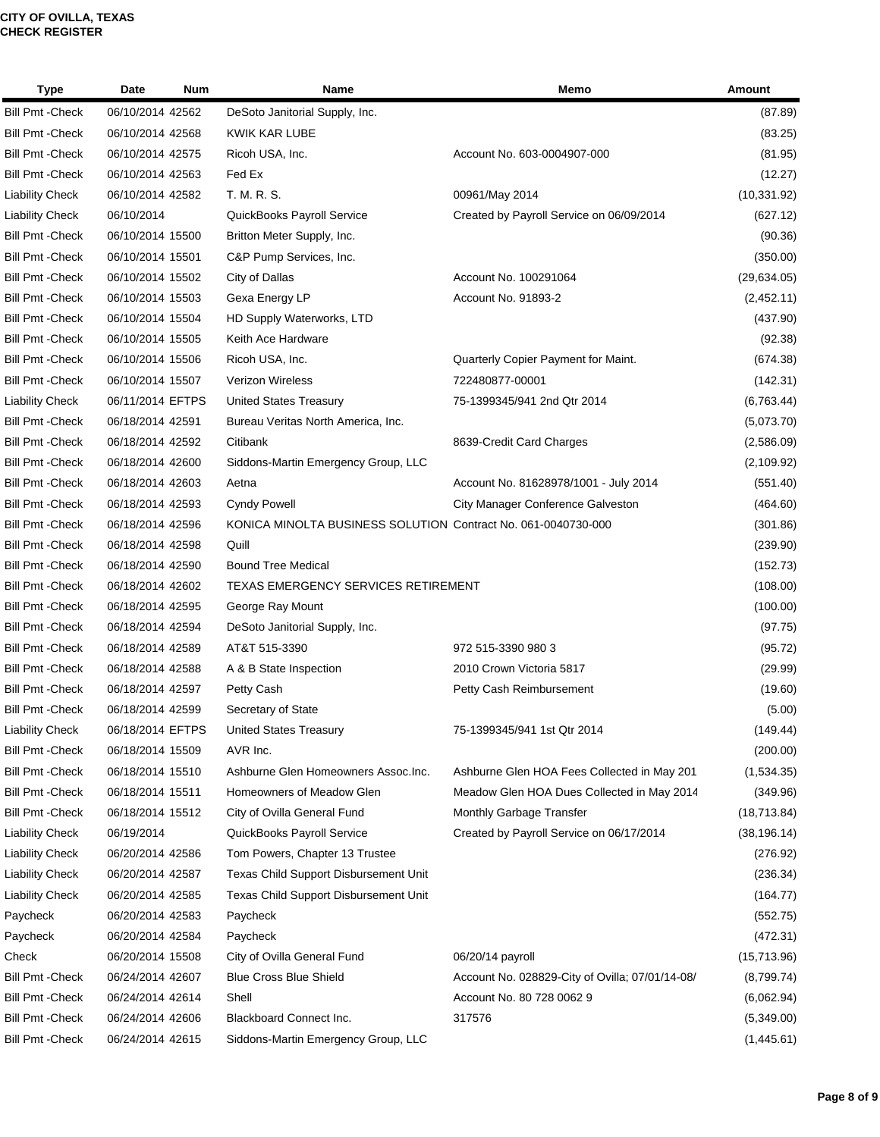| <b>Type</b>             | Date             | Num | <b>Name</b>                                                   | Memo                                            | <b>Amount</b> |
|-------------------------|------------------|-----|---------------------------------------------------------------|-------------------------------------------------|---------------|
| <b>Bill Pmt - Check</b> | 06/10/2014 42562 |     | DeSoto Janitorial Supply, Inc.                                |                                                 | (87.89)       |
| <b>Bill Pmt - Check</b> | 06/10/2014 42568 |     | <b>KWIK KAR LUBE</b>                                          |                                                 | (83.25)       |
| <b>Bill Pmt - Check</b> | 06/10/2014 42575 |     | Ricoh USA, Inc.                                               | Account No. 603-0004907-000                     | (81.95)       |
| <b>Bill Pmt - Check</b> | 06/10/2014 42563 |     | Fed Ex                                                        |                                                 | (12.27)       |
| <b>Liability Check</b>  | 06/10/2014 42582 |     | T. M. R. S.                                                   | 00961/May 2014                                  | (10, 331.92)  |
| <b>Liability Check</b>  | 06/10/2014       |     | QuickBooks Payroll Service                                    | Created by Payroll Service on 06/09/2014        | (627.12)      |
| <b>Bill Pmt - Check</b> | 06/10/2014 15500 |     | Britton Meter Supply, Inc.                                    |                                                 | (90.36)       |
| <b>Bill Pmt - Check</b> | 06/10/2014 15501 |     | C&P Pump Services, Inc.                                       |                                                 | (350.00)      |
| <b>Bill Pmt - Check</b> | 06/10/2014 15502 |     | City of Dallas                                                | Account No. 100291064                           | (29, 634.05)  |
| <b>Bill Pmt - Check</b> | 06/10/2014 15503 |     | Gexa Energy LP                                                | Account No. 91893-2                             | (2,452.11)    |
| <b>Bill Pmt - Check</b> | 06/10/2014 15504 |     | HD Supply Waterworks, LTD                                     |                                                 | (437.90)      |
| <b>Bill Pmt - Check</b> | 06/10/2014 15505 |     | Keith Ace Hardware                                            |                                                 | (92.38)       |
| <b>Bill Pmt - Check</b> | 06/10/2014 15506 |     | Ricoh USA, Inc.                                               | Quarterly Copier Payment for Maint.             | (674.38)      |
| <b>Bill Pmt - Check</b> | 06/10/2014 15507 |     | <b>Verizon Wireless</b>                                       | 722480877-00001                                 | (142.31)      |
| <b>Liability Check</b>  | 06/11/2014 EFTPS |     | <b>United States Treasury</b>                                 | 75-1399345/941 2nd Qtr 2014                     | (6,763.44)    |
| <b>Bill Pmt - Check</b> | 06/18/2014 42591 |     | Bureau Veritas North America, Inc.                            |                                                 | (5,073.70)    |
| <b>Bill Pmt - Check</b> | 06/18/2014 42592 |     | Citibank                                                      | 8639-Credit Card Charges                        | (2,586.09)    |
| <b>Bill Pmt - Check</b> | 06/18/2014 42600 |     | Siddons-Martin Emergency Group, LLC                           |                                                 | (2, 109.92)   |
| <b>Bill Pmt - Check</b> | 06/18/2014 42603 |     | Aetna                                                         | Account No. 81628978/1001 - July 2014           | (551.40)      |
| <b>Bill Pmt - Check</b> | 06/18/2014 42593 |     | <b>Cyndy Powell</b>                                           | City Manager Conference Galveston               | (464.60)      |
| <b>Bill Pmt - Check</b> | 06/18/2014 42596 |     | KONICA MINOLTA BUSINESS SOLUTION Contract No. 061-0040730-000 |                                                 | (301.86)      |
| <b>Bill Pmt - Check</b> | 06/18/2014 42598 |     | Quill                                                         |                                                 | (239.90)      |
| <b>Bill Pmt - Check</b> | 06/18/2014 42590 |     | <b>Bound Tree Medical</b>                                     |                                                 | (152.73)      |
| <b>Bill Pmt - Check</b> | 06/18/2014 42602 |     | TEXAS EMERGENCY SERVICES RETIREMENT                           |                                                 | (108.00)      |
| <b>Bill Pmt - Check</b> | 06/18/2014 42595 |     | George Ray Mount                                              |                                                 | (100.00)      |
| <b>Bill Pmt - Check</b> | 06/18/2014 42594 |     | DeSoto Janitorial Supply, Inc.                                |                                                 | (97.75)       |
| <b>Bill Pmt - Check</b> | 06/18/2014 42589 |     | AT&T 515-3390                                                 | 972 515-3390 980 3                              | (95.72)       |
| <b>Bill Pmt - Check</b> | 06/18/2014 42588 |     | A & B State Inspection                                        | 2010 Crown Victoria 5817                        | (29.99)       |
| <b>Bill Pmt - Check</b> | 06/18/2014 42597 |     | Petty Cash                                                    | Petty Cash Reimbursement                        | (19.60)       |
| Bill Pmt - Check        | 06/18/2014 42599 |     | Secretary of State                                            |                                                 | (5.00)        |
| <b>Liability Check</b>  | 06/18/2014 EFTPS |     | <b>United States Treasury</b>                                 | 75-1399345/941 1st Qtr 2014                     | (149.44)      |
| <b>Bill Pmt - Check</b> | 06/18/2014 15509 |     | AVR Inc.                                                      |                                                 | (200.00)      |
| <b>Bill Pmt - Check</b> | 06/18/2014 15510 |     | Ashburne Glen Homeowners Assoc. Inc.                          | Ashburne Glen HOA Fees Collected in May 201     | (1,534.35)    |
| <b>Bill Pmt - Check</b> | 06/18/2014 15511 |     | Homeowners of Meadow Glen                                     | Meadow Glen HOA Dues Collected in May 2014      | (349.96)      |
| <b>Bill Pmt - Check</b> | 06/18/2014 15512 |     | City of Ovilla General Fund                                   | Monthly Garbage Transfer                        | (18,713.84)   |
| <b>Liability Check</b>  | 06/19/2014       |     | QuickBooks Payroll Service                                    | Created by Payroll Service on 06/17/2014        | (38, 196.14)  |
| <b>Liability Check</b>  | 06/20/2014 42586 |     | Tom Powers, Chapter 13 Trustee                                |                                                 | (276.92)      |
| <b>Liability Check</b>  | 06/20/2014 42587 |     | Texas Child Support Disbursement Unit                         |                                                 | (236.34)      |
| <b>Liability Check</b>  | 06/20/2014 42585 |     | <b>Texas Child Support Disbursement Unit</b>                  |                                                 | (164.77)      |
| Paycheck                | 06/20/2014 42583 |     | Paycheck                                                      |                                                 | (552.75)      |
| Paycheck                | 06/20/2014 42584 |     | Paycheck                                                      |                                                 | (472.31)      |
| Check                   | 06/20/2014 15508 |     | City of Ovilla General Fund                                   | 06/20/14 payroll                                | (15,713.96)   |
| <b>Bill Pmt - Check</b> | 06/24/2014 42607 |     | <b>Blue Cross Blue Shield</b>                                 | Account No. 028829-City of Ovilla; 07/01/14-08/ | (8,799.74)    |
| <b>Bill Pmt - Check</b> | 06/24/2014 42614 |     | Shell                                                         | Account No. 80 728 0062 9                       | (6,062.94)    |
| <b>Bill Pmt - Check</b> | 06/24/2014 42606 |     | Blackboard Connect Inc.                                       | 317576                                          | (5,349.00)    |
| <b>Bill Pmt - Check</b> | 06/24/2014 42615 |     | Siddons-Martin Emergency Group, LLC                           |                                                 | (1,445.61)    |